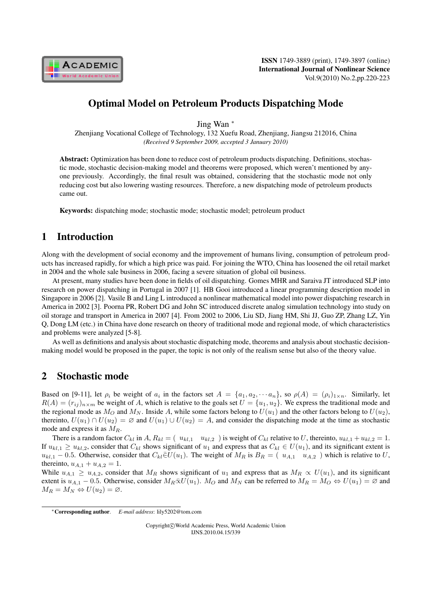

# Optimal Model on Petroleum Products Dispatching Mode

Jing Wan *<sup>∗</sup>*

Zhenjiang Vocational College of Technology, 132 Xuefu Road, Zhenjiang, Jiangsu 212016, China *(Received 9 September 2009, accepted 3 January 2010)*

Abstract: Optimization has been done to reduce cost of petroleum products dispatching. Definitions, stochastic mode, stochastic decision-making model and theorems were proposed, which weren't mentioned by anyone previously. Accordingly, the final result was obtained, considering that the stochastic mode not only reducing cost but also lowering wasting resources. Therefore, a new dispatching mode of petroleum products came out.

Keywords: dispatching mode; stochastic mode; stochastic model; petroleum product

## 1 Introduction

Along with the development of social economy and the improvement of humans living, consumption of petroleum products has increased rapidly, for which a high price was paid. For joining the WTO, China has loosened the oil retail market in 2004 and the whole sale business in 2006, facing a severe situation of global oil business.

At present, many studies have been done in fields of oil dispatching. Gomes MHR and Saraiva JT introduced SLP into research on power dispatching in Portugal in 2007 [1]. HB Gooi introduced a linear programming description model in Singapore in 2006 [2]. Vasile B and Ling L introduced a nonlinear mathematical model into power dispatching research in America in 2002 [3]. Poorna PR, Robert DG and John SC introduced discrete analog simulation technology into study on oil storage and transport in America in 2007 [4]. From 2002 to 2006, Liu SD, Jiang HM, Shi JJ, Guo ZP, Zhang LZ, Yin Q, Dong LM (etc.) in China have done research on theory of traditional mode and regional mode, of which characteristics and problems were analyzed [5-8].

As well as definitions and analysis about stochastic dispatching mode, theorems and analysis about stochastic decisionmaking model would be proposed in the paper, the topic is not only of the realism sense but also of the theory value.

#### 2 Stochastic mode

Based on [9-11], let  $\rho_i$  be weight of  $a_i$  in the factors set  $A = \{a_1, a_2, \dots a_n\}$ , so  $\rho(A) = (\rho_i)_{1 \times n}$ . Similarly, let  $R(A) = (r_{ij})_{n \times m}$  be weight of A, which is relative to the goals set  $U = \{u_1, u_2\}$ . We express the traditional mode and the regional mode as  $M_O$  and  $M_N$ . Inside A, while some factors belong to  $U(u_1)$  and the other factors belong to  $U(u_2)$ , thereinto,  $U(u_1) \cap U(u_2) = \emptyset$  and  $U(u_1) \cup U(u_2) = A$ , and consider the dispatching mode at the time as stochastic mode and express it as  $M_R$ .

There is a random factor  $C_{kl}$  in  $A$ ,  $R_{kl} = (u_{kl,1} - u_{kl,2})$  is weight of  $C_{kl}$  relative to U, thereinto,  $u_{kl,1} + u_{kl,2} = 1$ . If  $u_{kl,1} \geq u_{kl,2}$ , consider that  $C_{kl}$  shows significant of  $u_1$  and express that as  $C_{kl} \in U(u_1)$ , and its significant extent is  $u_{kl,1}$  − 0.5. Otherwise, consider that  $C_{kl} \in U(u_1)$ . The weight of  $M_R$  is  $B_R = (u_{A,1} \, u_{A,2})$  which is relative to U, thereinto,  $u_{A,1} + u_{A,2} = 1$ .

While  $u_{A,1} \geq u_{A,2}$ , consider that  $M_R$  shows significant of  $u_1$  and express that as  $M_R \propto U(u_1)$ , and its significant extent is  $u_{A,1}$  – 0.5. Otherwise, consider  $M_R \bar{\propto} U(u_1)$ .  $M_Q$  and  $M_N$  can be referred to  $M_R = M_Q \Leftrightarrow U(u_1) = \emptyset$  and  $M_R = M_N \Leftrightarrow U(u_2) = \varnothing.$ 

Copyright*⃝*c World Academic Press, World Academic Union IJNS.2010.04.15/339

*<sup>∗</sup>*Corresponding author. *E-mail address*: lily5202@tom.com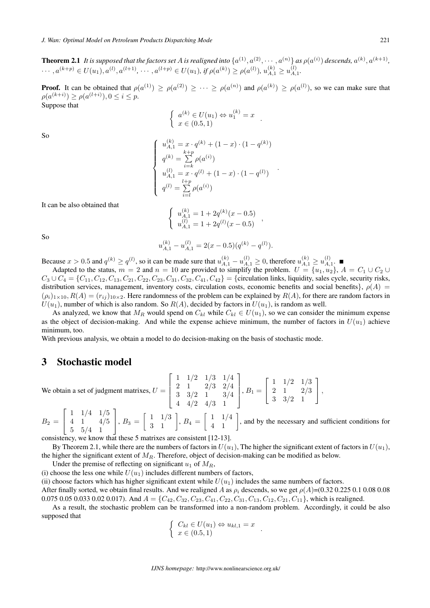**Theorem 2.1** It is supposed that the factors set A is realigned into  $\{a^{(1)}, a^{(2)}, \cdots, a^{(n)}\}$  as  $\rho(a^{(i)})$  descends,  $a^{(k)}, a^{(k+1)}$ ,  $\cdots, a^{(k+p)} \in U(u_1), a^{(l)}, a^{(l+1)}, \cdots, a^{(l+p)} \in U(u_1), \text{ if } \rho(a^{(k)}) \geq \rho(a^{(l)}), u_{A,1}^{(k)} \geq u_{A,1}^{(l)}$  $\scriptstyle{A,1}$ *.*

**Proof.** It can be obtained that  $\rho(a^{(1)}) \ge \rho(a^{(2)}) \ge \cdots \ge \rho(a^{(n)})$  and  $\rho(a^{(k)}) \ge \rho(a^{(l)})$ , so we can make sure that  $\rho(a^{(k+i)}) \ge \rho(a^{(l+i)}), 0 \le i \le p.$ Suppose that

$$
\begin{cases}\na^{(k)} \in U(u_1) \Leftrightarrow u_1^{(k)} = x \\
x \in (0.5, 1)\n\end{cases}
$$

So

$$
\begin{cases}\n u_{A,1}^{(k)} = x \cdot q^{(k)} + (1-x) \cdot (1-q^{(k)}) \\
 q^{(k)} = \sum_{i=k}^{k+p} \rho(a^{(i)}) \\
 u_{A,1}^{(l)} = x \cdot q^{(l)} + (1-x) \cdot (1-q^{(l)}) \\
 q^{(l)} = \sum_{i=l}^{l+p} \rho(a^{(i)})\n\end{cases}
$$

*.*

It can be also obtained that

$$
\begin{cases}\nu_{A,1}^{(k)} = 1 + 2q^{(k)}(x - 0.5) \\
u_{A,1}^{(l)} = 1 + 2q^{(l)}(x - 0.5)\n\end{cases}
$$

So

$$
u_{A,1}^{(k)} - u_{A,1}^{(l)} = 2(x - 0.5)(q^{(k)} - q^{(l)}).
$$

Because  $x > 0.5$  and  $q^{(k)} \ge q^{(l)}$ , so it can be made sure that  $u_{A,1}^{(k)} - u_{A,1}^{(l)} \ge 0$ , therefore  $u_{A,1}^{(k)} \ge u_{A,1}^{(l)}$  $A,1$ 

Adapted to the status,  $m = 2$  and  $n = 10$  are provided to simplify the problem.  $U = \{u_1, u_2\}$ ,  $A = C_1 \cup C_2 \cup C_1$  $C_3 \cup C_4 = \{C_{11}, C_{12}, C_{13}, C_{21}, C_{22}, C_{23}, C_{31}, C_{32}, C_{41}, C_{42}\} = \{\text{circulation links, liquidity, sales cycle, security risks, } \}$ distribution services, management, inventory costs, circulation costs, economic benefits and social benefits $\}$ ,  $\rho(A)$  =  $(\rho_i)_{1 \times 10}$ ,  $R(A) = (r_{ij})_{10 \times 2}$ . Here randomness of the problem can be explained by  $R(A)$ , for there are random factors in  $U(u_1)$ , number of which is also random. So  $R(A)$ , decided by factors in  $U(u_1)$ , is random as well.

As analyzed, we know that  $M_R$  would spend on  $C_{kl}$  while  $C_{kl} \in U(u_1)$ , so we can consider the minimum expense as the object of decision-making. And while the expense achieve minimum, the number of factors in  $U(u_1)$  achieve minimum, too.

With previous analysis, we obtain a model to do decision-making on the basis of stochastic mode.

#### 3 Stochastic model

We obtain a set of judgment matrixes,  $U =$  $\sqrt{ }$ ⎢ ⎢ ⎣ 1 1/2 1/3 1/4 2 1 2/3 2/4 3 3/2 1 3/4 4 4/2 4/3 1 ⎤  $\vert$  $, B_1 =$  $\sqrt{ }$  $\perp$ 1 1/2 1/3 2 1 2/3 3 3/2 1  $\mathsf{I}$ ⎦*,*

 $B_2 =$  $\lceil$  $\overline{\phantom{a}}$ 1 1/4 1/5 4 1 4/5 5 5/4 1 ⎤  $\Big\vert$ ,  $B_3 =$  $\left[\begin{array}{cc} 1 & 1/3 \\ 3 & 1 \end{array}\right], B_4 =$  $\begin{bmatrix} 1 & 1/4 \\ 4 & 1 \end{bmatrix}$ , and by the necessary and sufficient conditions for

consistency, we know that these 5 matrixes are consistent [12-13].

By Theorem 2.1, while there are the numbers of factors in  $U(u_1)$ , The higher the significant extent of factors in  $U(u_1)$ , the higher the significant extent of  $M_R$ . Therefore, object of decision-making can be modified as below.

Under the premise of reflecting on significant  $u_1$  of  $M_R$ ,

(i) choose the less one while  $U(u_1)$  includes different numbers of factors,

(ii) choose factors which has higher significant extent while  $U(u_1)$  includes the same numbers of factors. After finally sorted, we obtain final results. And we realigned A as  $\rho_i$  descends, so we get  $\rho(A)=(0.32\ 0.225\ 0.1\ 0.08\ 0.08$ 0.075 0.05 0.033 0.02 0.017). And  $A = \{C_{42}, C_{32}, C_{23}, C_{41}, C_{22}, C_{31}, C_{13}, C_{12}, C_{21}, C_{11}\}$ , which is realigned.

As a result, the stochastic problem can be transformed into a non-random problem. Accordingly, it could be also supposed that

$$
\begin{cases} C_{kl} \in U(u_1) \Leftrightarrow u_{kl,1} = x \\ x \in (0.5,1) \end{cases}.
$$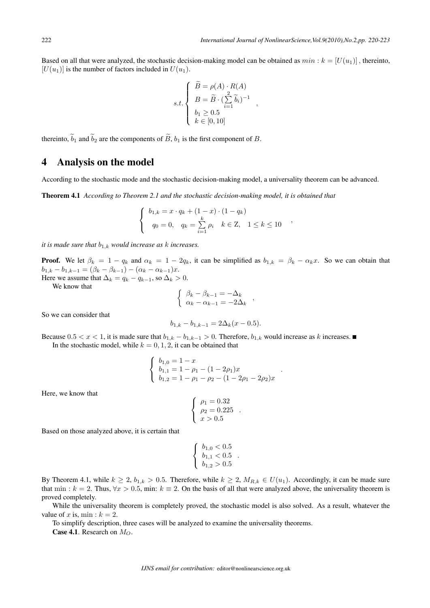Based on all that were analyzed, the stochastic decision-making model can be obtained as  $min : k = [U(u_1)]$ , thereinto,  $[U(u_1)]$  is the number of factors included in  $U(u_1)$ .

$$
s.t. \begin{cases} \widetilde{B} = \rho(A) \cdot R(A) \\ B = \widetilde{B} \cdot (\sum_{i=1}^{2} \widetilde{b}_{i})^{-1} \\ b_{1} \ge 0.5 \\ k \in [0, 10] \end{cases}
$$

*,*

thereinto,  $\tilde{b}_1$  and  $\tilde{b}_2$  are the components of  $\tilde{B}$ ,  $b_1$  is the first component of  $B$ .

### 4 Analysis on the model

According to the stochastic mode and the stochastic decision-making model, a universality theorem can be advanced.

Theorem 4.1 *According to Theorem 2.1 and the stochastic decision-making model, it is obtained that*

$$
\begin{cases} b_{1,k} = x \cdot q_k + (1-x) \cdot (1-q_k) \\ q_0 = 0, \quad q_k = \sum_{i=1}^k \rho_i \quad k \in \mathbb{Z}, \quad 1 \le k \le 10 \end{cases}
$$

*it is made sure that*  $b_{1,k}$  *would increase as k increases.* 

**Proof.** We let  $\beta_k = 1 - q_k$  and  $\alpha_k = 1 - 2q_k$ , it can be simplified as  $b_{1,k} = \beta_k - \alpha_k x$ . So we can obtain that  $b_{1,k} - b_{1,k-1} = (\beta_k - \beta_{k-1}) - (\alpha_k - \alpha_{k-1})x.$ 

Here we assume that  $\Delta_k = q_k - q_{k-1}$ , so  $\Delta_k > 0$ .

We know that

$$
\begin{cases}\n\beta_k - \beta_{k-1} = -\Delta_k \\
\alpha_k - \alpha_{k-1} = -2\Delta_k\n\end{cases}
$$

So we can consider that

$$
b_{1,k} - b_{1,k-1} = 2\Delta_k(x - 0.5).
$$

Because  $0.5 < x < 1$ , it is made sure that  $b_{1,k} - b_{1,k-1} > 0$ . Therefore,  $b_{1,k}$  would increase as k increases. In the stochastic model, while  $k = 0, 1, 2$ , it can be obtained that

$$
\begin{cases}\nb_{1,0} = 1 - x \\
b_{1,1} = 1 - \rho_1 - (1 - 2\rho_1)x \\
b_{1,2} = 1 - \rho_1 - \rho_2 - (1 - 2\rho_1 - 2\rho_2)x\n\end{cases}
$$

*.*

Here, we know that

$$
\begin{cases}\n\rho_1 = 0.32 \\
\rho_2 = 0.225 \\
x > 0.5\n\end{cases}
$$

Based on those analyzed above, it is certain that

$$
\left\{\begin{array}{l} b_{1,0}<0.5\\ b_{1,1}<0.5\\ b_{1,2}>0.5 \end{array}\right.
$$

*.*

By Theorem 4.1, while  $k \geq 2$ ,  $b_{1,k} > 0.5$ . Therefore, while  $k \geq 2$ ,  $M_{R,k} \in U(u_1)$ . Accordingly, it can be made sure that min :  $k = 2$ . Thus,  $\forall x > 0.5$ , min:  $k \equiv 2$ . On the basis of all that were analyzed above, the universality theorem is proved completely.

While the universality theorem is completely proved, the stochastic model is also solved. As a result, whatever the value of x is, min :  $k = 2$ .

To simplify description, three cases will be analyzed to examine the universality theorems.

**Case 4.1**. Research on  $M_O$ .